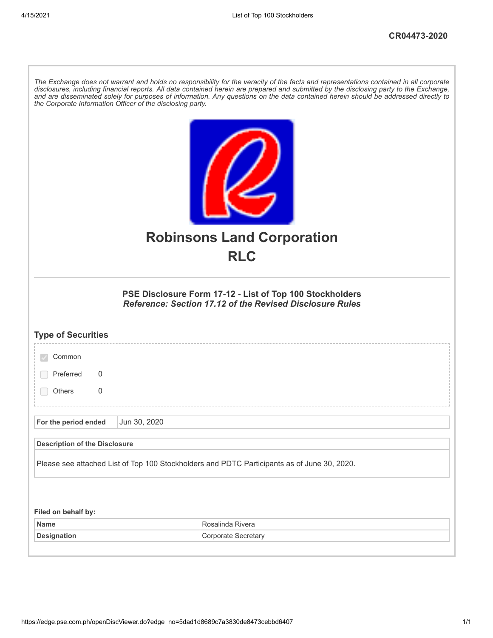| The Exchange does not warrant and holds no responsibility for the veracity of the facts and representations contained in all corporate<br>disclosures, including financial reports. All data contained herein are prepared and submitted by the disclosing party to the Exchange,<br>and are disseminated solely for purposes of information. Any questions on the data contained herein should be addressed directly to<br>the Corporate Information Officer of the disclosing party. |              |                                                                                             |
|----------------------------------------------------------------------------------------------------------------------------------------------------------------------------------------------------------------------------------------------------------------------------------------------------------------------------------------------------------------------------------------------------------------------------------------------------------------------------------------|--------------|---------------------------------------------------------------------------------------------|
|                                                                                                                                                                                                                                                                                                                                                                                                                                                                                        |              | <b>Robinsons Land Corporation</b><br><b>RLC</b>                                             |
| PSE Disclosure Form 17-12 - List of Top 100 Stockholders<br><b>Reference: Section 17.12 of the Revised Disclosure Rules</b>                                                                                                                                                                                                                                                                                                                                                            |              |                                                                                             |
| <b>Type of Securities</b>                                                                                                                                                                                                                                                                                                                                                                                                                                                              |              |                                                                                             |
| Common                                                                                                                                                                                                                                                                                                                                                                                                                                                                                 |              |                                                                                             |
| Preferred<br>0                                                                                                                                                                                                                                                                                                                                                                                                                                                                         |              |                                                                                             |
| 0<br><b>Others</b>                                                                                                                                                                                                                                                                                                                                                                                                                                                                     |              |                                                                                             |
| For the period ended                                                                                                                                                                                                                                                                                                                                                                                                                                                                   | Jun 30, 2020 |                                                                                             |
| <b>Description of the Disclosure</b>                                                                                                                                                                                                                                                                                                                                                                                                                                                   |              |                                                                                             |
|                                                                                                                                                                                                                                                                                                                                                                                                                                                                                        |              | Please see attached List of Top 100 Stockholders and PDTC Participants as of June 30, 2020. |
|                                                                                                                                                                                                                                                                                                                                                                                                                                                                                        |              |                                                                                             |
| Filed on behalf by:<br><b>Name</b>                                                                                                                                                                                                                                                                                                                                                                                                                                                     |              | Rosalinda Rivera                                                                            |
| <b>Designation</b>                                                                                                                                                                                                                                                                                                                                                                                                                                                                     |              | Corporate Secretary                                                                         |
|                                                                                                                                                                                                                                                                                                                                                                                                                                                                                        |              |                                                                                             |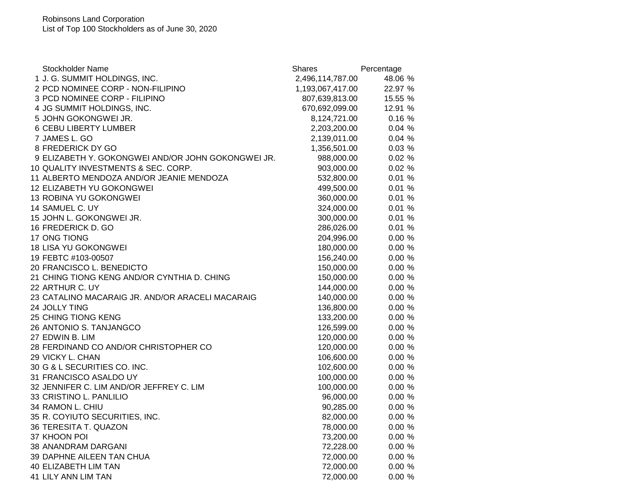| Stockholder Name                                   | Shares           | Percentage |
|----------------------------------------------------|------------------|------------|
| 1 J. G. SUMMIT HOLDINGS, INC.                      | 2,496,114,787.00 | 48.06 %    |
| 2 PCD NOMINEE CORP - NON-FILIPINO                  | 1,193,067,417.00 | 22.97 %    |
| 3 PCD NOMINEE CORP - FILIPINO                      | 807,639,813.00   | 15.55 %    |
| 4 JG SUMMIT HOLDINGS, INC.                         | 670,692,099.00   | 12.91 %    |
| 5 JOHN GOKONGWEI JR.                               | 8,124,721.00     | 0.16%      |
| <b>6 CEBU LIBERTY LUMBER</b>                       | 2,203,200.00     | 0.04%      |
| 7 JAMES L. GO                                      | 2,139,011.00     | 0.04%      |
| 8 FREDERICK DY GO                                  | 1,356,501.00     | 0.03%      |
| 9 ELIZABETH Y. GOKONGWEI AND/OR JOHN GOKONGWEI JR. | 988,000.00       | 0.02%      |
| 10 QUALITY INVESTMENTS & SEC. CORP.                | 903,000.00       | 0.02%      |
| 11 ALBERTO MENDOZA AND/OR JEANIE MENDOZA           | 532,800.00       | 0.01%      |
| 12 ELIZABETH YU GOKONGWEI                          | 499,500.00       | 0.01%      |
| 13 ROBINA YU GOKONGWEI                             | 360,000.00       | 0.01%      |
| 14 SAMUEL C. UY                                    | 324,000.00       | 0.01%      |
| 15 JOHN L. GOKONGWEI JR.                           | 300,000.00       | 0.01%      |
| 16 FREDERICK D. GO                                 | 286,026.00       | 0.01%      |
| 17 ONG TIONG                                       | 204,996.00       | 0.00%      |
| <b>18 LISA YU GOKONGWEI</b>                        | 180,000.00       | 0.00%      |
| 19 FEBTC #103-00507                                | 156,240.00       | 0.00%      |
| 20 FRANCISCO L. BENEDICTO                          | 150,000.00       | $0.00 \%$  |
| 21 CHING TIONG KENG AND/OR CYNTHIA D. CHING        | 150,000.00       | 0.00%      |
| 22 ARTHUR C. UY                                    | 144,000.00       | 0.00%      |
| 23 CATALINO MACARAIG JR. AND/OR ARACELI MACARAIG   | 140,000.00       | 0.00%      |
| 24 JOLLY TING                                      | 136,800.00       | 0.00%      |
| 25 CHING TIONG KENG                                | 133,200.00       | 0.00%      |
| 26 ANTONIO S. TANJANGCO                            | 126,599.00       | 0.00%      |
| 27 EDWIN B. LIM                                    | 120,000.00       | 0.00%      |
| 28 FERDINAND CO AND/OR CHRISTOPHER CO              | 120,000.00       | 0.00%      |
| 29 VICKY L. CHAN                                   | 106,600.00       | 0.00%      |
| 30 G & L SECURITIES CO. INC.                       | 102,600.00       | 0.00%      |
| 31 FRANCISCO ASALDO UY                             | 100,000.00       | $0.00 \%$  |
| 32 JENNIFER C. LIM AND/OR JEFFREY C. LIM           | 100,000.00       | 0.00%      |
| 33 CRISTINO L. PANLILIO                            | 96,000.00        | 0.00%      |
| 34 RAMON L. CHIU                                   | 90,285.00        | $0.00 \%$  |
| 35 R. COYIUTO SECURITIES, INC.                     | 82,000.00        | 0.00%      |
| 36 TERESITA T. QUAZON                              | 78,000.00        | 0.00%      |
| 37 KHOON POI                                       | 73,200.00        | 0.00%      |
| 38 ANANDRAM DARGANI                                | 72,228.00        | 0.00%      |
| 39 DAPHNE AILEEN TAN CHUA                          | 72,000.00        | 0.00%      |
| 40 ELIZABETH LIM TAN                               | 72,000.00        | 0.00%      |
| <b>41 LILY ANN LIM TAN</b>                         | 72,000.00        | 0.00%      |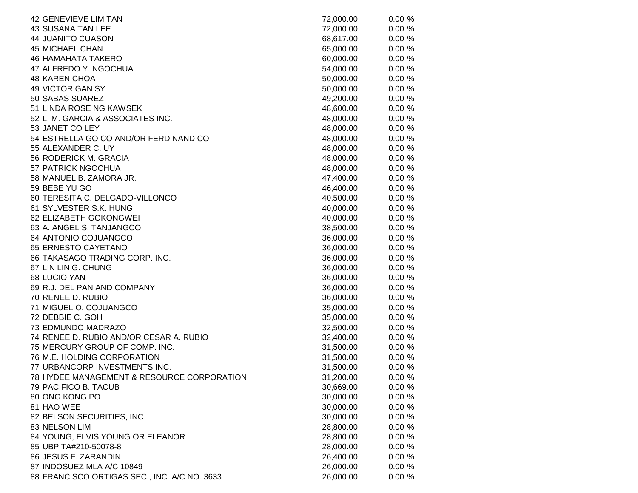| 42 GENEVIEVE LIM TAN                         | 72,000.00 | 0.00% |
|----------------------------------------------|-----------|-------|
| 43 SUSANA TAN LEE                            | 72,000.00 | 0.00% |
| 44 JUANITO CUASON                            | 68,617.00 | 0.00% |
| <b>45 MICHAEL CHAN</b>                       | 65,000.00 | 0.00% |
| <b>46 HAMAHATA TAKERO</b>                    | 60,000.00 | 0.00% |
| 47 ALFREDO Y. NGOCHUA                        | 54,000.00 | 0.00% |
| <b>48 KAREN CHOA</b>                         | 50,000.00 | 0.00% |
| 49 VICTOR GAN SY                             | 50,000.00 | 0.00% |
| 50 SABAS SUAREZ                              | 49,200.00 | 0.00% |
| 51 LINDA ROSE NG KAWSEK                      | 48,600.00 | 0.00% |
| 52 L. M. GARCIA & ASSOCIATES INC.            | 48,000.00 | 0.00% |
| 53 JANET CO LEY                              | 48,000.00 | 0.00% |
| 54 ESTRELLA GO CO AND/OR FERDINAND CO        | 48,000.00 | 0.00% |
| 55 ALEXANDER C. UY                           | 48,000.00 | 0.00% |
| 56 RODERICK M. GRACIA                        | 48,000.00 | 0.00% |
| 57 PATRICK NGOCHUA                           | 48,000.00 | 0.00% |
| 58 MANUEL B. ZAMORA JR.                      | 47,400.00 | 0.00% |
| 59 BEBE YU GO                                | 46,400.00 | 0.00% |
| 60 TERESITA C. DELGADO-VILLONCO              | 40,500.00 | 0.00% |
| 61 SYLVESTER S.K. HUNG                       | 40,000.00 | 0.00% |
| 62 ELIZABETH GOKONGWEI                       | 40,000.00 | 0.00% |
| 63 A. ANGEL S. TANJANGCO                     | 38,500.00 | 0.00% |
| 64 ANTONIO COJUANGCO                         | 36,000.00 | 0.00% |
| 65 ERNESTO CAYETANO                          | 36,000.00 | 0.00% |
| 66 TAKASAGO TRADING CORP. INC.               | 36,000.00 | 0.00% |
| 67 LIN LIN G. CHUNG                          | 36,000.00 | 0.00% |
| 68 LUCIO YAN                                 | 36,000.00 | 0.00% |
| 69 R.J. DEL PAN AND COMPANY                  | 36,000.00 | 0.00% |
| 70 RENEE D. RUBIO                            | 36,000.00 | 0.00% |
| 71 MIGUEL O. COJUANGCO                       | 35,000.00 | 0.00% |
| 72 DEBBIE C. GOH                             | 35,000.00 | 0.00% |
| 73 EDMUNDO MADRAZO                           | 32,500.00 | 0.00% |
| 74 RENEE D. RUBIO AND/OR CESAR A. RUBIO      | 32,400.00 | 0.00% |
| 75 MERCURY GROUP OF COMP. INC.               | 31,500.00 | 0.00% |
| 76 M.E. HOLDING CORPORATION                  | 31,500.00 | 0.00% |
| 77 URBANCORP INVESTMENTS INC.                | 31,500.00 | 0.00% |
| 78 HYDEE MANAGEMENT & RESOURCE CORPORATION   | 31,200.00 | 0.00% |
| 79 PACIFICO B. TACUB                         | 30,669.00 | 0.00% |
| 80 ONG KONG PO                               | 30,000.00 | 0.00% |
| 81 HAO WEE                                   | 30,000.00 | 0.00% |
| 82 BELSON SECURITIES, INC.                   | 30,000.00 | 0.00% |
| 83 NELSON LIM                                | 28,800.00 | 0.00% |
| 84 YOUNG, ELVIS YOUNG OR ELEANOR             | 28,800.00 | 0.00% |
| 85 UBP TA#210-50078-8                        | 28,000.00 | 0.00% |
| 86 JESUS F. ZARANDIN                         | 26,400.00 | 0.00% |
| 87 INDOSUEZ MLA A/C 10849                    | 26,000.00 | 0.00% |
| 88 FRANCISCO ORTIGAS SEC., INC. A/C NO. 3633 | 26,000.00 | 0.00% |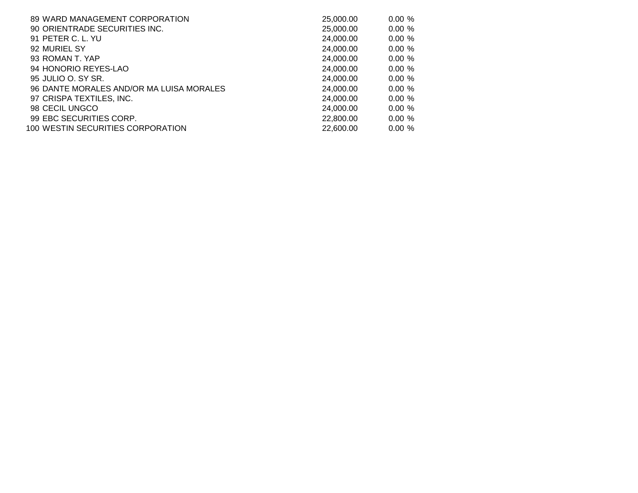| 89 WARD MANAGEMENT CORPORATION           | 25,000.00 | 0.00%     |
|------------------------------------------|-----------|-----------|
| 90 ORIENTRADE SECURITIES INC.            | 25,000.00 | $0.00 \%$ |
| 91 PETER C. L. YU                        | 24,000.00 | $0.00 \%$ |
| 92 MURIEL SY                             | 24,000.00 | $0.00 \%$ |
| 93 ROMAN T. YAP                          | 24,000.00 | $0.00 \%$ |
| 94 HONORIO REYES-LAO                     | 24,000.00 | $0.00 \%$ |
| 95 JULIO O. SY SR.                       | 24,000.00 | $0.00 \%$ |
| 96 DANTE MORALES AND/OR MA LUISA MORALES | 24,000.00 | $0.00 \%$ |
| 97 CRISPA TEXTILES, INC.                 | 24,000.00 | $0.00 \%$ |
| 98 CECIL UNGCO                           | 24,000.00 | $0.00 \%$ |
| 99 EBC SECURITIES CORP.                  | 22,800.00 | $0.00 \%$ |
| 100 WESTIN SECURITIES CORPORATION        | 22,600.00 | $0.00 \%$ |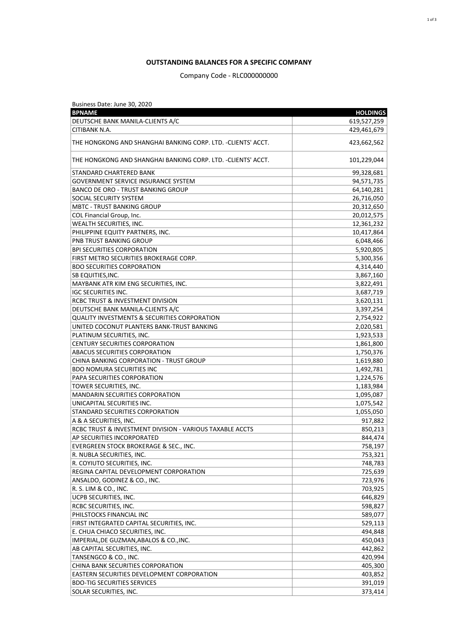## **OUTSTANDING BALANCES FOR A SPECIFIC COMPANY**

## Company Code - RLC000000000

| Business Date: June 30, 2020<br><b>BPNAME</b>                | <b>HOLDINGS</b> |
|--------------------------------------------------------------|-----------------|
| DEUTSCHE BANK MANILA-CLIENTS A/C                             | 619,527,259     |
| CITIBANK N.A.                                                | 429,461,679     |
| THE HONGKONG AND SHANGHAI BANKING CORP. LTD. -CLIENTS' ACCT. | 423,662,562     |
| THE HONGKONG AND SHANGHAI BANKING CORP. LTD. -CLIENTS' ACCT. | 101,229,044     |
| STANDARD CHARTERED BANK                                      | 99,328,681      |
| <b>GOVERNMENT SERVICE INSURANCE SYSTEM</b>                   | 94,571,735      |
| <b>BANCO DE ORO - TRUST BANKING GROUP</b>                    | 64,140,281      |
| SOCIAL SECURITY SYSTEM                                       | 26,716,050      |
| <b>MBTC - TRUST BANKING GROUP</b>                            | 20,312,650      |
| COL Financial Group, Inc.                                    | 20,012,575      |
| WEALTH SECURITIES, INC.                                      | 12,361,232      |
| PHILIPPINE EQUITY PARTNERS, INC.                             | 10,417,864      |
| PNB TRUST BANKING GROUP                                      | 6,048,466       |
| <b>BPI SECURITIES CORPORATION</b>                            | 5,920,805       |
| FIRST METRO SECURITIES BROKERAGE CORP.                       | 5,300,356       |
| <b>BDO SECURITIES CORPORATION</b>                            | 4,314,440       |
| SB EQUITIES, INC.                                            | 3,867,160       |
| MAYBANK ATR KIM ENG SECURITIES, INC.                         | 3,822,491       |
| <b>IGC SECURITIES INC.</b>                                   | 3,687,719       |
| RCBC TRUST & INVESTMENT DIVISION                             | 3,620,131       |
| DEUTSCHE BANK MANILA-CLIENTS A/C                             | 3,397,254       |
| <b>QUALITY INVESTMENTS &amp; SECURITIES CORPORATION</b>      | 2,754,922       |
| UNITED COCONUT PLANTERS BANK-TRUST BANKING                   | 2,020,581       |
| PLATINUM SECURITIES, INC.                                    | 1,923,533       |
| <b>CENTURY SECURITIES CORPORATION</b>                        | 1,861,800       |
| ABACUS SECURITIES CORPORATION                                | 1,750,376       |
| CHINA BANKING CORPORATION - TRUST GROUP                      | 1,619,880       |
| <b>BDO NOMURA SECURITIES INC</b>                             | 1,492,781       |
| PAPA SECURITIES CORPORATION                                  | 1,224,576       |
| TOWER SECURITIES, INC.                                       | 1,183,984       |
| <b>MANDARIN SECURITIES CORPORATION</b>                       | 1,095,087       |
| UNICAPITAL SECURITIES INC.                                   | 1,075,542       |
| STANDARD SECURITIES CORPORATION                              | 1,055,050       |
| A & A SECURITIES, INC.                                       | 917,882         |
| RCBC TRUST & INVESTMENT DIVISION - VARIOUS TAXABLE ACCTS     | 850,213         |
| AP SECURITIES INCORPORATED                                   | 844,474         |
| EVERGREEN STOCK BROKERAGE & SEC., INC.                       | 758,197         |
| R. NUBLA SECURITIES, INC.                                    | 753,321         |
| R. COYIUTO SECURITIES, INC.                                  | 748,783         |
| REGINA CAPITAL DEVELOPMENT CORPORATION                       | 725,639         |
| ANSALDO, GODINEZ & CO., INC.                                 | 723,976         |
| R. S. LIM & CO., INC.                                        | 703,925         |
| UCPB SECURITIES, INC.                                        | 646,829         |
| RCBC SECURITIES, INC.                                        | 598,827         |
| PHILSTOCKS FINANCIAL INC                                     | 589,077         |
| FIRST INTEGRATED CAPITAL SECURITIES, INC.                    | 529,113         |
| E. CHUA CHIACO SECURITIES, INC.                              | 494,848         |
| IMPERIAL, DE GUZMAN, ABALOS & CO., INC.                      | 450,043         |
| AB CAPITAL SECURITIES, INC.                                  | 442,862         |
| TANSENGCO & CO., INC.                                        | 420,994         |
| CHINA BANK SECURITIES CORPORATION                            | 405,300         |
| EASTERN SECURITIES DEVELOPMENT CORPORATION                   | 403,852         |
| <b>BDO-TIG SECURITIES SERVICES</b>                           | 391,019         |
| SOLAR SECURITIES, INC.                                       | 373,414         |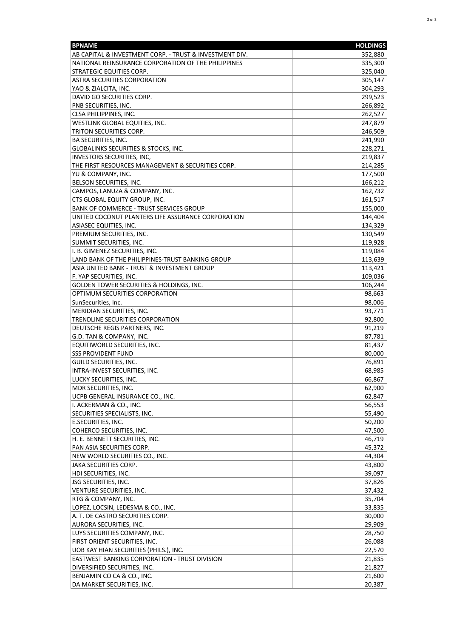| <b>BPNAME</b>                                           | <b>HOLDINGS</b> |
|---------------------------------------------------------|-----------------|
| AB CAPITAL & INVESTMENT CORP. - TRUST & INVESTMENT DIV. | 352,880         |
| NATIONAL REINSURANCE CORPORATION OF THE PHILIPPINES     | 335,300         |
| <b>STRATEGIC EQUITIES CORP.</b>                         | 325,040         |
| ASTRA SECURITIES CORPORATION                            | 305,147         |
| YAO & ZIALCITA, INC.                                    | 304,293         |
| DAVID GO SECURITIES CORP.                               | 299,523         |
| PNB SECURITIES, INC.                                    | 266,892         |
| CLSA PHILIPPINES, INC.                                  | 262,527         |
| WESTLINK GLOBAL EQUITIES, INC.                          | 247,879         |
| TRITON SECURITIES CORP.                                 | 246,509         |
| <b>BA SECURITIES, INC.</b>                              | 241,990         |
| <b>GLOBALINKS SECURITIES &amp; STOCKS, INC.</b>         | 228,271         |
| INVESTORS SECURITIES, INC,                              | 219,837         |
| THE FIRST RESOURCES MANAGEMENT & SECURITIES CORP.       | 214,285         |
| YU & COMPANY, INC.                                      | 177,500         |
| BELSON SECURITIES, INC.                                 | 166,212         |
| CAMPOS, LANUZA & COMPANY, INC.                          | 162,732         |
| CTS GLOBAL EQUITY GROUP, INC.                           | 161,517         |
| <b>BANK OF COMMERCE - TRUST SERVICES GROUP</b>          | 155,000         |
| UNITED COCONUT PLANTERS LIFE ASSURANCE CORPORATION      | 144,404         |
| <b>ASIASEC EQUITIES, INC.</b>                           | 134,329         |
| PREMIUM SECURITIES, INC.                                | 130,549         |
| SUMMIT SECURITIES, INC.                                 | 119,928         |
| I. B. GIMENEZ SECURITIES, INC.                          | 119,084         |
| LAND BANK OF THE PHILIPPINES-TRUST BANKING GROUP        | 113,639         |
| ASIA UNITED BANK - TRUST & INVESTMENT GROUP             | 113,421         |
| F. YAP SECURITIES, INC.                                 | 109,036         |
| GOLDEN TOWER SECURITIES & HOLDINGS, INC.                | 106,244         |
| OPTIMUM SECURITIES CORPORATION                          | 98,663          |
| SunSecurities, Inc.                                     | 98,006          |
| MERIDIAN SECURITIES, INC.                               | 93,771          |
| TRENDLINE SECURITIES CORPORATION                        | 92,800          |
| DEUTSCHE REGIS PARTNERS, INC.                           | 91,219          |
| G.D. TAN & COMPANY, INC.                                | 87,781          |
| EQUITIWORLD SECURITIES, INC.                            | 81,437          |
| <b>SSS PROVIDENT FUND</b>                               | 80,000          |
| <b>GUILD SECURITIES, INC.</b>                           | 76,891          |
| INTRA-INVEST SECURITIES, INC.                           | 68,985          |
| LUCKY SECURITIES, INC.                                  | 66,867          |
| MDR SECURITIES, INC.                                    | 62,900          |
| UCPB GENERAL INSURANCE CO., INC.                        | 62,847          |
| I. ACKERMAN & CO., INC.                                 | 56,553          |
| SECURITIES SPECIALISTS, INC.                            | 55,490          |
| E.SECURITIES, INC.                                      | 50,200          |
| COHERCO SECURITIES, INC.                                | 47,500          |
| H. E. BENNETT SECURITIES, INC.                          | 46,719          |
| PAN ASIA SECURITIES CORP.                               | 45,372          |
| NEW WORLD SECURITIES CO., INC.                          | 44,304          |
| JAKA SECURITIES CORP.                                   | 43,800          |
| HDI SECURITIES, INC.                                    | 39,097          |
| <b>JSG SECURITIES, INC.</b>                             | 37,826          |
| VENTURE SECURITIES, INC.                                | 37,432          |
| RTG & COMPANY, INC.                                     | 35,704          |
| LOPEZ, LOCSIN, LEDESMA & CO., INC.                      | 33,835          |
| A. T. DE CASTRO SECURITIES CORP.                        | 30,000          |
| AURORA SECURITIES, INC.                                 | 29,909          |
| LUYS SECURITIES COMPANY, INC.                           | 28,750          |
| FIRST ORIENT SECURITIES, INC.                           | 26,088          |
| UOB KAY HIAN SECURITIES (PHILS.), INC.                  | 22,570          |
| <b>EASTWEST BANKING CORPORATION - TRUST DIVISION</b>    | 21,835          |
| DIVERSIFIED SECURITIES, INC.                            | 21,827          |
| BENJAMIN CO CA & CO., INC.                              | 21,600          |
| DA MARKET SECURITIES, INC.                              | 20,387          |